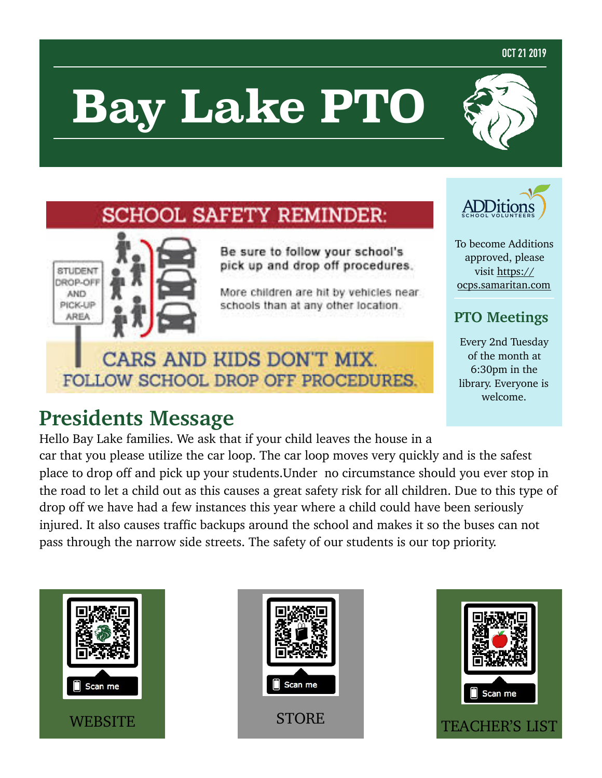#### **OCT 21 2019**

# **Bay Lake PTO**

## **SCHOOL SAFETY REMINDER:**



Be sure to follow your school's pick up and drop off procedures.

More children are hit by vehicles near. schools than at any other location.

## CARS AND KIDS DON'T MIX. FOLLOW SCHOOL DROP OFF PROCEDURES.

## **Presidents Message**



To become Additions approved, please visit [https://](https://ocps.samaritan.com/) [ocps.samaritan.com](https://ocps.samaritan.com/)

## **PTO Meetings**

Every 2nd Tuesday of the month at 6:30pm in the library. Everyone is welcome.

Hello Bay Lake families. We ask that if your child leaves the house in a car that you please utilize the car loop. The car loop moves very quickly and is the safest place to drop off and pick up your students.Under no circumstance should you ever stop in the road to let a child out as this causes a great safety risk for all children. Due to this type of drop off we have had a few instances this year where a child could have been seriously injured. It also causes traffic backups around the school and makes it so the buses can not pass through the narrow side streets. The safety of our students is our top priority.